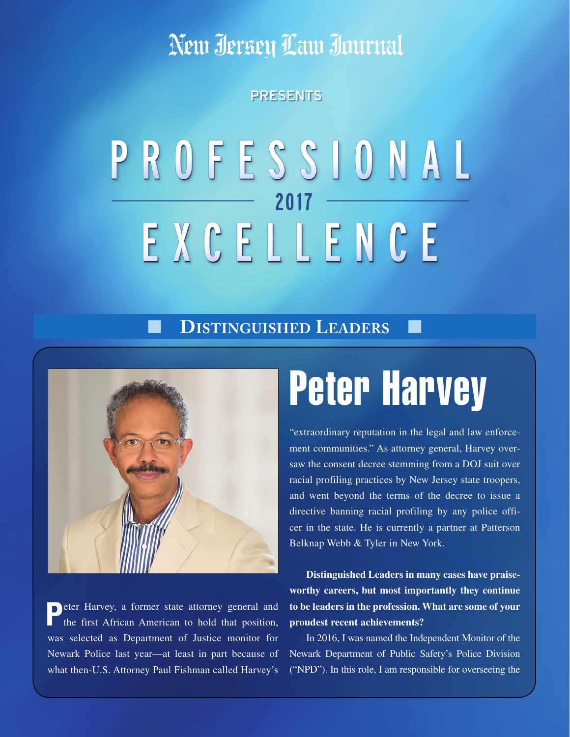Neur Jersey Law Journal

### PRESENTS

## PROFESSIONAL 2017 EXCELLENCE

### ■ **Distinguished Leaders** ■



**P**eter Harvey, a former state attorney general and the first African American to hold that position, was selected as Department of Justice monitor for Newark Police last year—at least in part because of what then-U.S. Attorney Paul Fishman called Harvey's

# Peter Harvey

"extraordinary reputation in the legal and law enforcement communities." As attorney general, Harvey oversaw the consent decree stemming from a DOJ suit over racial profiling practices by New Jersey state troopers, and went beyond the terms of the decree to issue a directive banning racial profiling by any police officer in the state. He is currently a partner at Patterson Belknap Webb & Tyler in New York.

**Distinguished Leaders in many cases have praiseworthy careers, but most importantly they continue to be leaders in the profession. What are some of your proudest recent achievements?**

In 2016, I was named the Independent Monitor of the Newark Department of Public Safety's Police Division ("NPD"). In this role, I am responsible for overseeing the